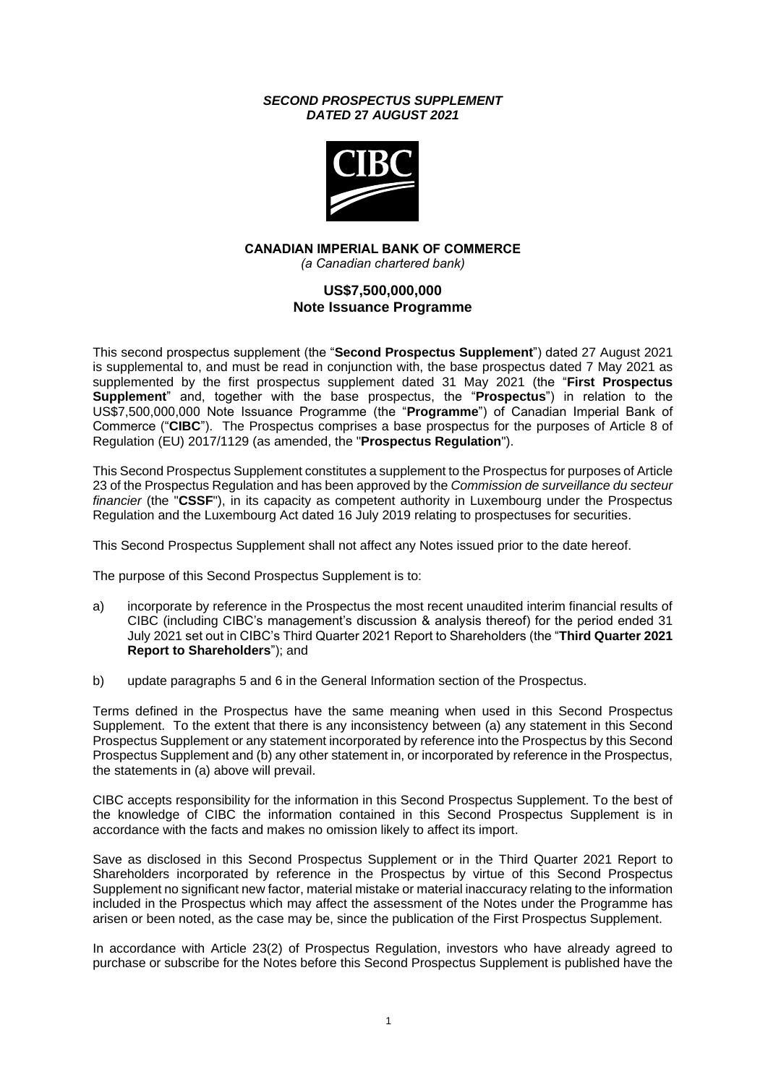### *SECOND PROSPECTUS SUPPLEMENT DATED* **27** *AUGUST 2021*



### **CANADIAN IMPERIAL BANK OF COMMERCE** *(a Canadian chartered bank)*

# **US\$7,500,000,000 Note Issuance Programme**

This second prospectus supplement (the "**Second Prospectus Supplement**") dated 27 August 2021 is supplemental to, and must be read in conjunction with, the base prospectus dated 7 May 2021 as supplemented by the first prospectus supplement dated 31 May 2021 (the "**First Prospectus Supplement**" and, together with the base prospectus, the "**Prospectus**") in relation to the US\$7,500,000,000 Note Issuance Programme (the "**Programme**") of Canadian Imperial Bank of Commerce ("**CIBC**"). The Prospectus comprises a base prospectus for the purposes of Article 8 of Regulation (EU) 2017/1129 (as amended, the "**Prospectus Regulation**").

This Second Prospectus Supplement constitutes a supplement to the Prospectus for purposes of Article 23 of the Prospectus Regulation and has been approved by the *Commission de surveillance du secteur financier* (the "**CSSF**"), in its capacity as competent authority in Luxembourg under the Prospectus Regulation and the Luxembourg Act dated 16 July 2019 relating to prospectuses for securities.

This Second Prospectus Supplement shall not affect any Notes issued prior to the date hereof.

The purpose of this Second Prospectus Supplement is to:

- a) incorporate by reference in the Prospectus the most recent unaudited interim financial results of CIBC (including CIBC's management's discussion & analysis thereof) for the period ended 31 July 2021 set out in CIBC's Third Quarter 2021 Report to Shareholders (the "**Third Quarter 2021 Report to Shareholders**"); and
- b) update paragraphs 5 and 6 in the General Information section of the Prospectus.

Terms defined in the Prospectus have the same meaning when used in this Second Prospectus Supplement. To the extent that there is any inconsistency between (a) any statement in this Second Prospectus Supplement or any statement incorporated by reference into the Prospectus by this Second Prospectus Supplement and (b) any other statement in, or incorporated by reference in the Prospectus, the statements in (a) above will prevail.

CIBC accepts responsibility for the information in this Second Prospectus Supplement. To the best of the knowledge of CIBC the information contained in this Second Prospectus Supplement is in accordance with the facts and makes no omission likely to affect its import.

Save as disclosed in this Second Prospectus Supplement or in the Third Quarter 2021 Report to Shareholders incorporated by reference in the Prospectus by virtue of this Second Prospectus Supplement no significant new factor, material mistake or material inaccuracy relating to the information included in the Prospectus which may affect the assessment of the Notes under the Programme has arisen or been noted, as the case may be, since the publication of the First Prospectus Supplement.

In accordance with Article 23(2) of Prospectus Regulation, investors who have already agreed to purchase or subscribe for the Notes before this Second Prospectus Supplement is published have the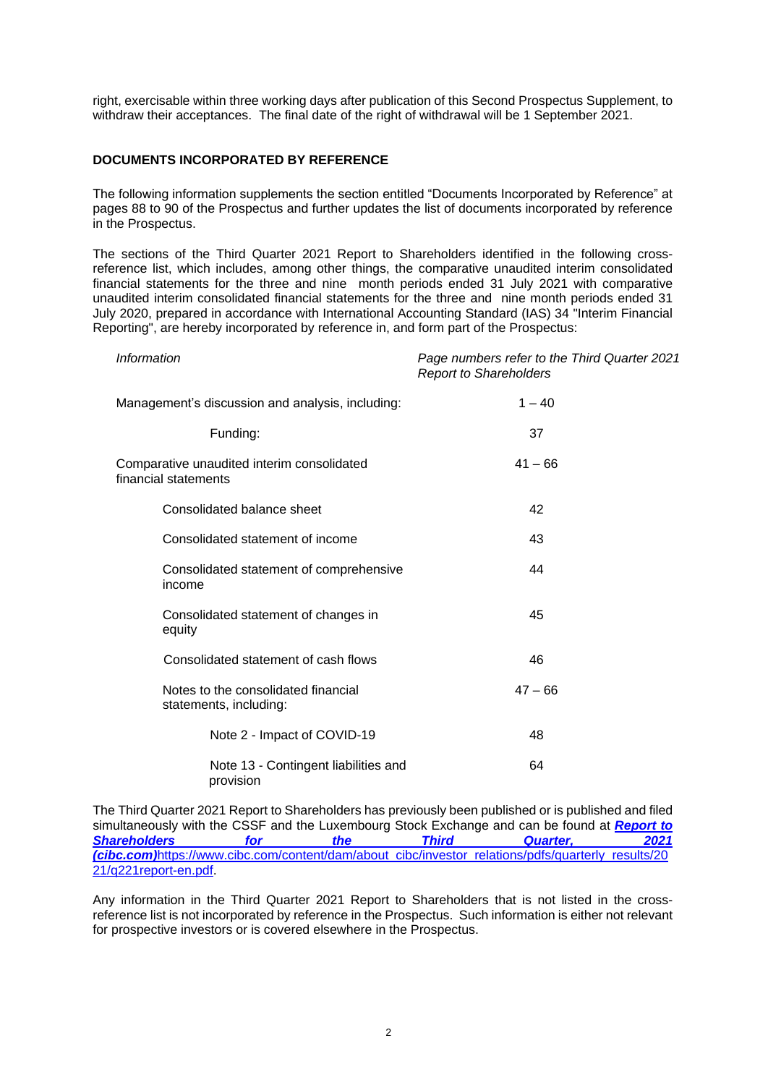right, exercisable within three working days after publication of this Second Prospectus Supplement, to withdraw their acceptances. The final date of the right of withdrawal will be 1 September 2021.

## **DOCUMENTS INCORPORATED BY REFERENCE**

The following information supplements the section entitled "Documents Incorporated by Reference" at pages 88 to 90 of the Prospectus and further updates the list of documents incorporated by reference in the Prospectus.

The sections of the Third Quarter 2021 Report to Shareholders identified in the following crossreference list, which includes, among other things, the comparative unaudited interim consolidated financial statements for the three and nine month periods ended 31 July 2021 with comparative unaudited interim consolidated financial statements for the three and nine month periods ended 31 July 2020, prepared in accordance with International Accounting Standard (IAS) 34 "Interim Financial Reporting", are hereby incorporated by reference in, and form part of the Prospectus:

| <b>Information</b>                                                 | Page numbers refer to the Third Quarter 2021<br><b>Report to Shareholders</b> |
|--------------------------------------------------------------------|-------------------------------------------------------------------------------|
| Management's discussion and analysis, including:                   | $1 - 40$                                                                      |
| Funding:                                                           | 37                                                                            |
| Comparative unaudited interim consolidated<br>financial statements | $41 - 66$                                                                     |
| Consolidated balance sheet                                         | 42                                                                            |
| Consolidated statement of income                                   | 43                                                                            |
| Consolidated statement of comprehensive<br>income                  | 44                                                                            |
| Consolidated statement of changes in<br>equity                     | 45                                                                            |
| Consolidated statement of cash flows                               | 46                                                                            |
| Notes to the consolidated financial<br>statements, including:      | $47 - 66$                                                                     |
| Note 2 - Impact of COVID-19                                        | 48                                                                            |
| Note 13 - Contingent liabilities and<br>provision                  | 64                                                                            |

The Third Quarter 2021 Report to Shareholders has previously been published or is published and filed simultaneously with the CSSF and the Luxembourg Stock Exchange and can be found at *[Report to](https://www.cibc.com/content/dam/about_cibc/investor_relations/pdfs/quarterly_results/2021/q321report-en.pdf)  [Shareholders for the Third Quarter, 2021](https://www.cibc.com/content/dam/about_cibc/investor_relations/pdfs/quarterly_results/2021/q321report-en.pdf)  [\(cibc.com\)](https://www.cibc.com/content/dam/about_cibc/investor_relations/pdfs/quarterly_results/2021/q321report-en.pdf)*[https://www.cibc.com/content/dam/about\\_cibc/investor\\_relations/pdfs/quarterly\\_results/20](https://www.cibc.com/content/dam/about_cibc/investor_relations/pdfs/quarterly_results/2021/q221report-en.pdf) [21/q221report-en.pdf.](https://www.cibc.com/content/dam/about_cibc/investor_relations/pdfs/quarterly_results/2021/q221report-en.pdf)

Any information in the Third Quarter 2021 Report to Shareholders that is not listed in the crossreference list is not incorporated by reference in the Prospectus. Such information is either not relevant for prospective investors or is covered elsewhere in the Prospectus.